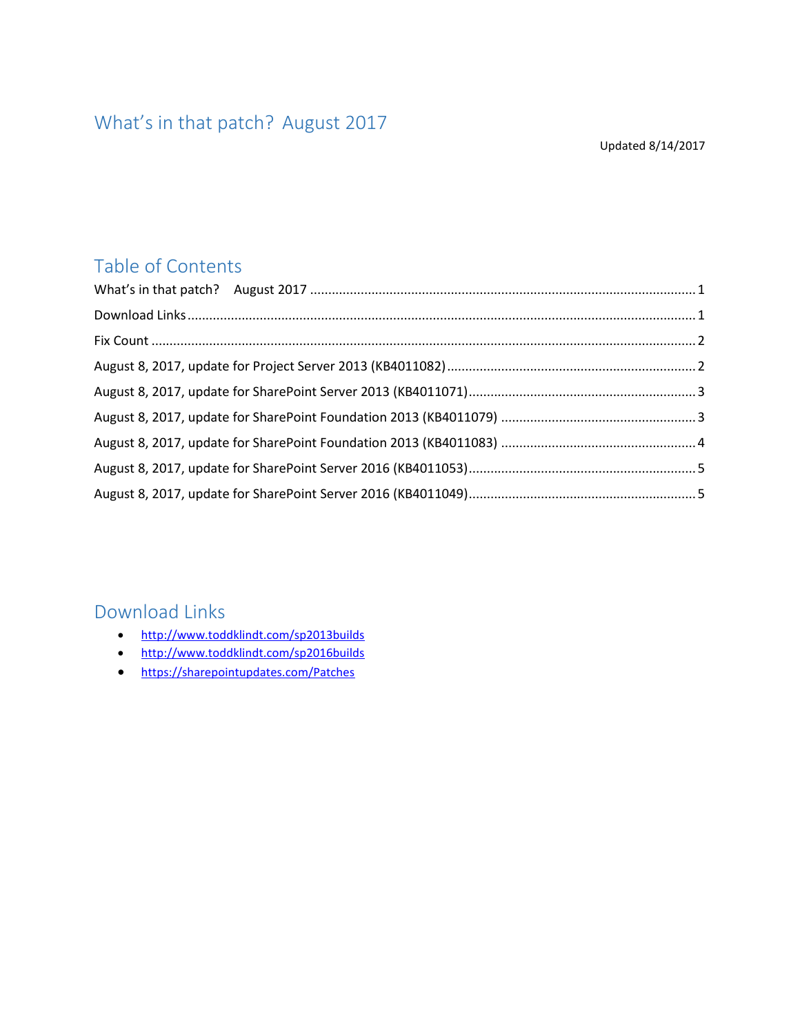# <span id="page-0-0"></span>What's in that patch? August 2017

#### Updated 8/14/2017

## Table of Contents

## <span id="page-0-1"></span>Download Links

- <http://www.toddklindt.com/sp2013builds>
- <http://www.toddklindt.com/sp2016builds>
- <https://sharepointupdates.com/Patches>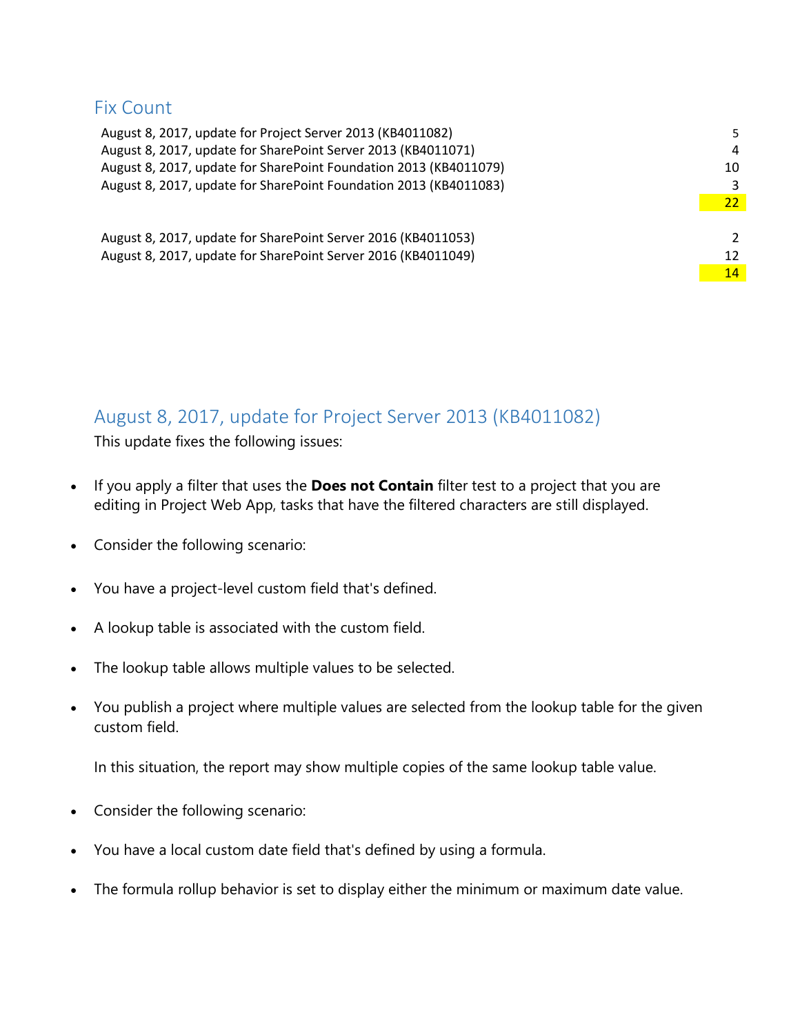## <span id="page-1-0"></span>Fix Count

| August 8, 2017, update for Project Server 2013 (KB4011082)        | 5.            |
|-------------------------------------------------------------------|---------------|
| August 8, 2017, update for SharePoint Server 2013 (KB4011071)     | 4             |
| August 8, 2017, update for SharePoint Foundation 2013 (KB4011079) | 10            |
| August 8, 2017, update for SharePoint Foundation 2013 (KB4011083) | 3             |
|                                                                   | 22            |
|                                                                   |               |
| August 8, 2017, update for SharePoint Server 2016 (KB4011053)     | $\mathcal{P}$ |
| August 8, 2017, update for SharePoint Server 2016 (KB4011049)     | 12            |
|                                                                   | 14            |
|                                                                   |               |

## <span id="page-1-1"></span>August 8, 2017, update for Project Server 2013 (KB4011082)

This update fixes the following issues:

- If you apply a filter that uses the **Does not Contain** filter test to a project that you are editing in Project Web App, tasks that have the filtered characters are still displayed.
- Consider the following scenario:
- You have a project-level custom field that's defined.
- A lookup table is associated with the custom field.
- The lookup table allows multiple values to be selected.
- You publish a project where multiple values are selected from the lookup table for the given custom field.

In this situation, the report may show multiple copies of the same lookup table value.

- Consider the following scenario:
- You have a local custom date field that's defined by using a formula.
- The formula rollup behavior is set to display either the minimum or maximum date value.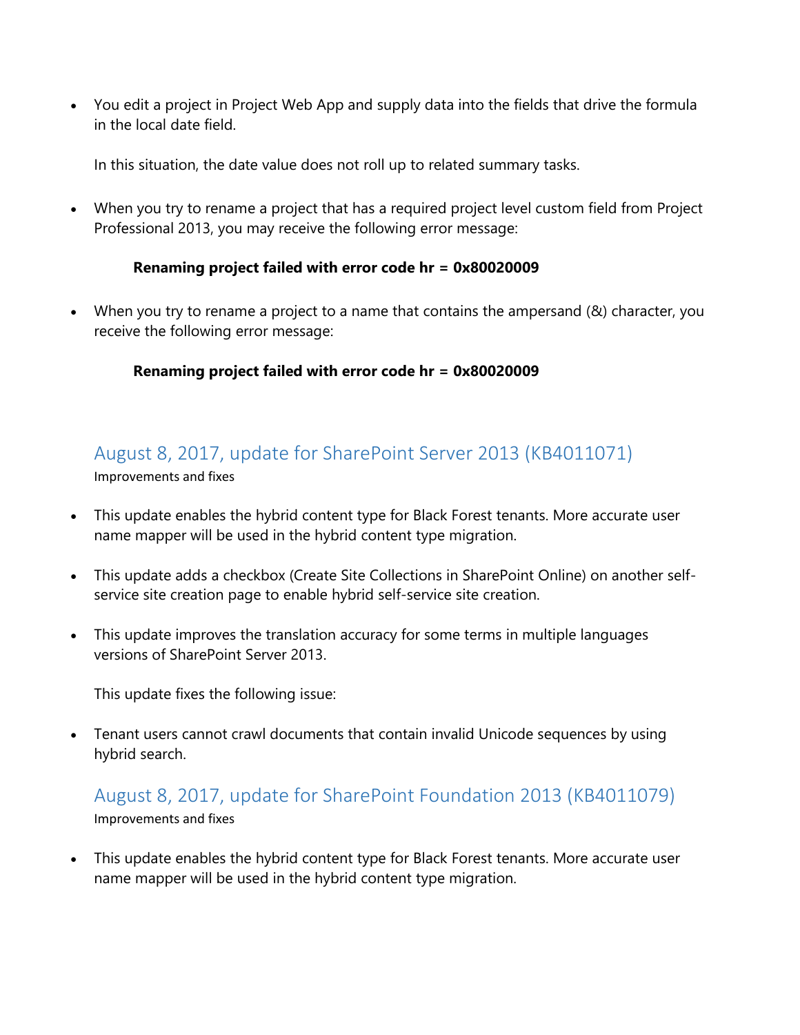• You edit a project in Project Web App and supply data into the fields that drive the formula in the local date field.

In this situation, the date value does not roll up to related summary tasks.

• When you try to rename a project that has a required project level custom field from Project Professional 2013, you may receive the following error message:

#### **Renaming project failed with error code hr = 0x80020009**

• When you try to rename a project to a name that contains the ampersand (&) character, you receive the following error message:

#### **Renaming project failed with error code hr = 0x80020009**

# <span id="page-2-0"></span>August 8, 2017, update for SharePoint Server 2013 (KB4011071)

Improvements and fixes

- This update enables the hybrid content type for Black Forest tenants. More accurate user name mapper will be used in the hybrid content type migration.
- This update adds a checkbox (Create Site Collections in SharePoint Online) on another selfservice site creation page to enable hybrid self-service site creation.
- This update improves the translation accuracy for some terms in multiple languages versions of SharePoint Server 2013.

This update fixes the following issue:

• Tenant users cannot crawl documents that contain invalid Unicode sequences by using hybrid search.

## <span id="page-2-1"></span>August 8, 2017, update for SharePoint Foundation 2013 (KB4011079) Improvements and fixes

• This update enables the hybrid content type for Black Forest tenants. More accurate user name mapper will be used in the hybrid content type migration.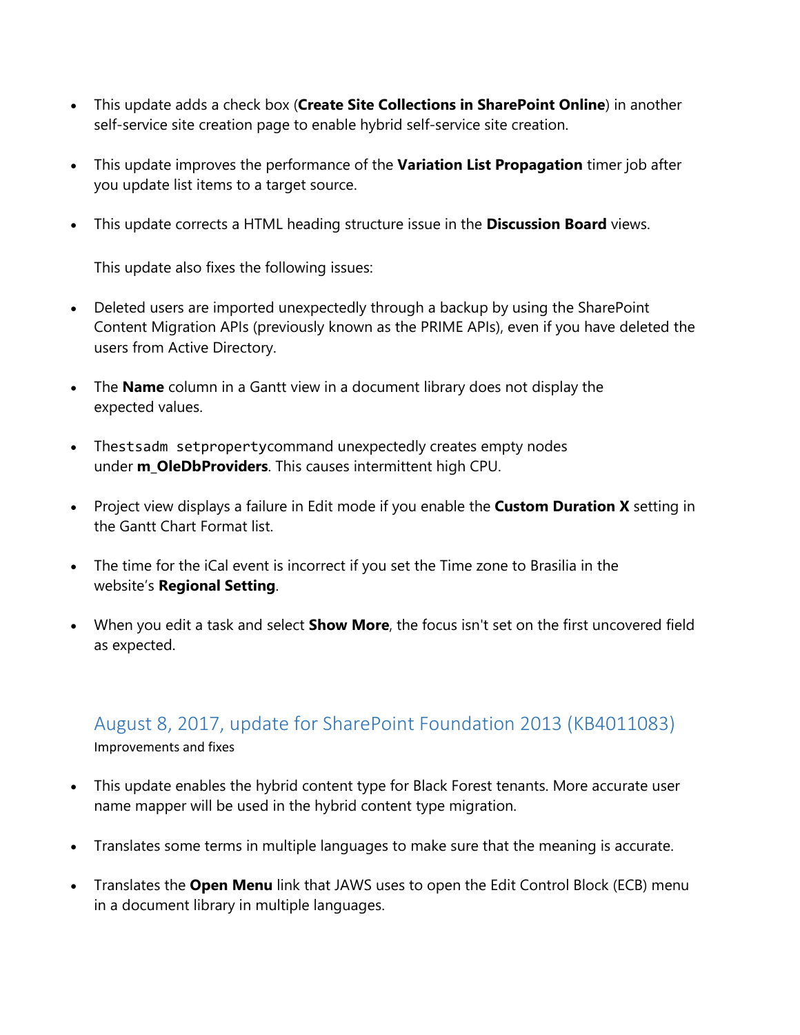- This update adds a check box (**Create Site Collections in SharePoint Online**) in another self-service site creation page to enable hybrid self-service site creation.
- This update improves the performance of the **Variation List Propagation** timer job after you update list items to a target source.
- This update corrects a HTML heading structure issue in the **Discussion Board** views.

This update also fixes the following issues:

- Deleted users are imported unexpectedly through a backup by using the SharePoint Content Migration APIs (previously known as the PRIME APIs), even if you have deleted the users from Active Directory.
- The **Name** column in a Gantt view in a document library does not display the expected values.
- Thestsadm setpropertycommand unexpectedly creates empty nodes under **m\_OleDbProviders**. This causes intermittent high CPU.
- Project view displays a failure in Edit mode if you enable the **Custom Duration X** setting in the Gantt Chart Format list.
- The time for the iCal event is incorrect if you set the Time zone to Brasilia in the website's **Regional Setting**.
- When you edit a task and select **Show More**, the focus isn't set on the first uncovered field as expected.

# <span id="page-3-0"></span>August 8, 2017, update for SharePoint Foundation 2013 (KB4011083)

Improvements and fixes

- This update enables the hybrid content type for Black Forest tenants. More accurate user name mapper will be used in the hybrid content type migration.
- Translates some terms in multiple languages to make sure that the meaning is accurate.
- Translates the **Open Menu** link that JAWS uses to open the Edit Control Block (ECB) menu in a document library in multiple languages.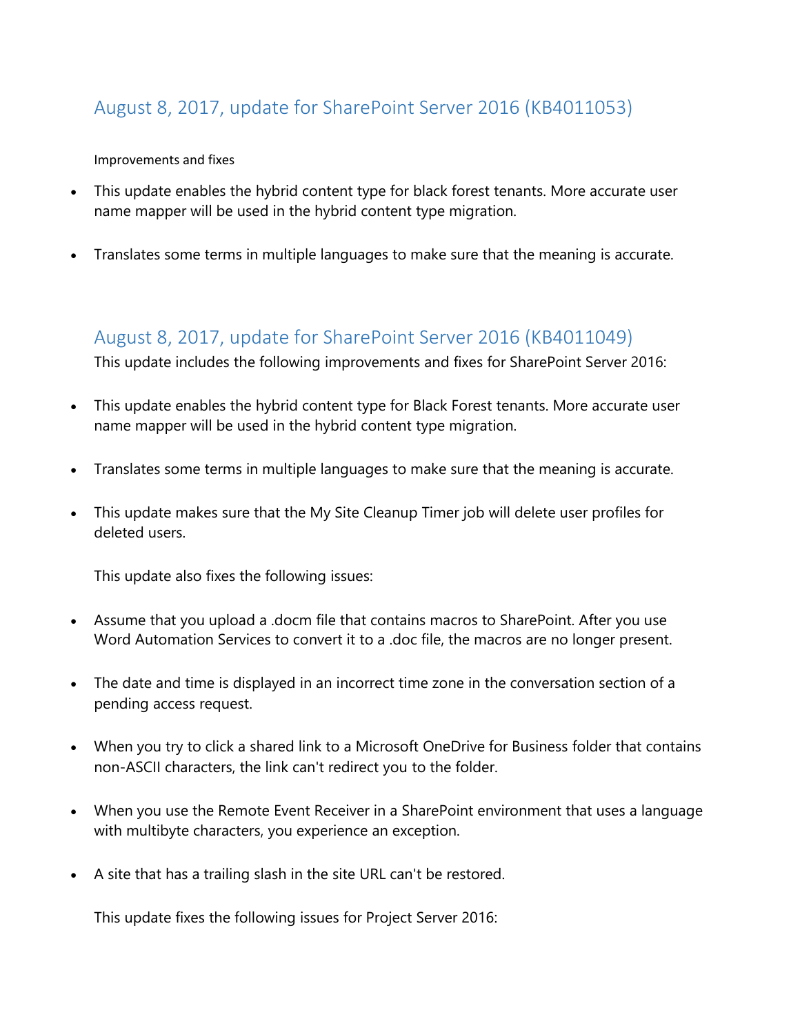## <span id="page-4-0"></span>August 8, 2017, update for SharePoint Server 2016 (KB4011053)

#### Improvements and fixes

- This update enables the hybrid content type for black forest tenants. More accurate user name mapper will be used in the hybrid content type migration.
- Translates some terms in multiple languages to make sure that the meaning is accurate.

# <span id="page-4-1"></span>August 8, 2017, update for SharePoint Server 2016 (KB4011049)

This update includes the following improvements and fixes for SharePoint Server 2016:

- This update enables the hybrid content type for Black Forest tenants. More accurate user name mapper will be used in the hybrid content type migration.
- Translates some terms in multiple languages to make sure that the meaning is accurate.
- This update makes sure that the My Site Cleanup Timer job will delete user profiles for deleted users.

This update also fixes the following issues:

- Assume that you upload a .docm file that contains macros to SharePoint. After you use Word Automation Services to convert it to a .doc file, the macros are no longer present.
- The date and time is displayed in an incorrect time zone in the conversation section of a pending access request.
- When you try to click a shared link to a Microsoft OneDrive for Business folder that contains non-ASCII characters, the link can't redirect you to the folder.
- When you use the Remote Event Receiver in a SharePoint environment that uses a language with multibyte characters, you experience an exception.
- A site that has a trailing slash in the site URL can't be restored.

This update fixes the following issues for Project Server 2016: